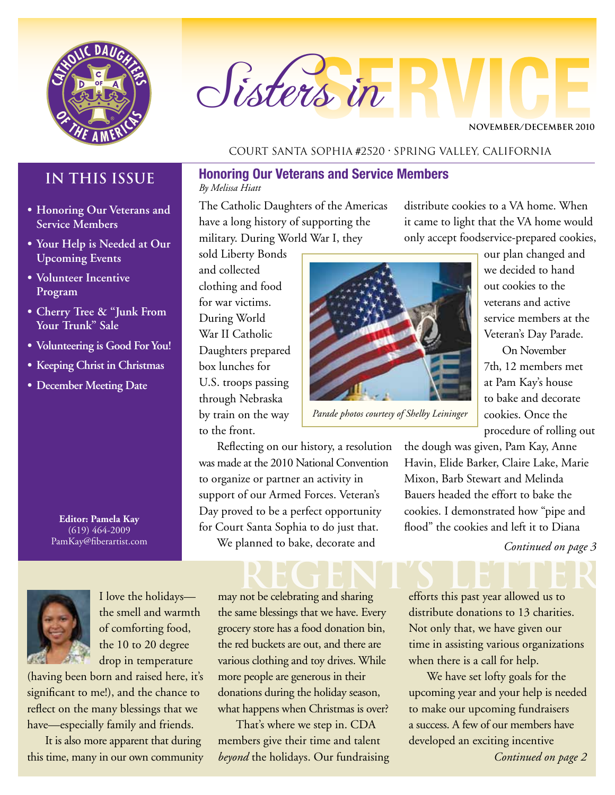

# Sisters in

**NOVEMBER/DECEMBER 2010**

### **IN THIS ISSUE**

- **• Honoring Our Veterans and Service Members**
- **• Your Help is Needed at Our Upcoming Events**
- **• Volunteer Incentive Program**
- **• Cherry Tree & "Junk From Your Trunk" Sale**
- **• Volunteering is Good For You!**
- **• Keeping Christ in Christmas**
- **• December Meeting Date**

**Editor: Pamela Kay** (619) 464-2009 PamKay@fiberartist.com



I love the holidays the smell and warmth of comforting food, the 10 to 20 degree drop in temperature

(having been born and raised here, it's significant to me!), and the chance to reflect on the many blessings that we have—especially family and friends.

It is also more apparent that during this time, many in our own community

### Court Santa Sophia #2520 • Spring Valley, California

### **Honoring Our Veterans and Service Members** *By Melissa Hiatt*

The Catholic Daughters of the Americas have a long history of supporting the military. During World War I, they

sold Liberty Bonds and collected clothing and food for war victims. During World War II Catholic Daughters prepared box lunches for U.S. troops passing through Nebraska by train on the way to the front.

Reflecting on our history, a resolution was made at the 2010 National Convention to organize or partner an activity in support of our Armed Forces. Veteran's Day proved to be a perfect opportunity for Court Santa Sophia to do just that. We planned to bake, decorate and

REGENT'S LETTER

may not be celebrating and sharing the same blessings that we have. Every grocery store has a food donation bin, the red buckets are out, and there are various clothing and toy drives. While more people are generous in their donations during the holiday season, what happens when Christmas is over?

That's where we step in. CDA members give their time and talent *beyond* the holidays. Our fundraising distribute cookies to a VA home. When it came to light that the VA home would only accept foodservice-prepared cookies,



*Parade photos courtesy of Shelby Leininger*

our plan changed and we decided to hand out cookies to the veterans and active service members at the Veteran's Day Parade.

On November 7th, 12 members met at Pam Kay's house to bake and decorate cookies. Once the procedure of rolling out

the dough was given, Pam Kay, Anne Havin, Elide Barker, Claire Lake, Marie Mixon, Barb Stewart and Melinda Bauers headed the effort to bake the cookies. I demonstrated how "pipe and flood" the cookies and left it to Diana

*Continued on page 3*

efforts this past year allowed us to distribute donations to 13 charities. Not only that, we have given our time in assisting various organizations when there is a call for help.

We have set lofty goals for the upcoming year and your help is needed to make our upcoming fundraisers a success. A few of our members have developed an exciting incentive

*Continued on page 2*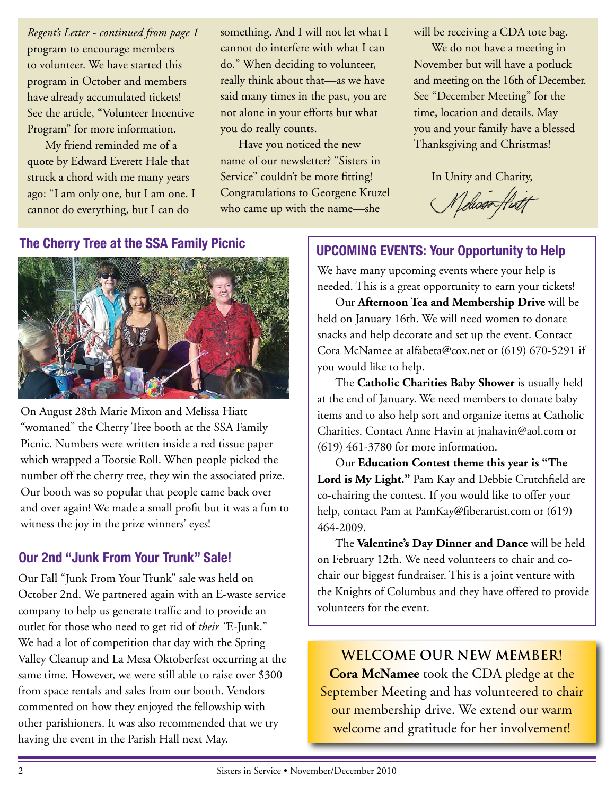program to encourage members to volunteer. We have started this program in October and members have already accumulated tickets! See the article, "Volunteer Incentive Program" for more information. *Regent's Letter - continued from page 1*

My friend reminded me of a quote by Edward Everett Hale that struck a chord with me many years ago: "I am only one, but I am one. I cannot do everything, but I can do

something. And I will not let what I cannot do interfere with what I can do." When deciding to volunteer, really think about that—as we have said many times in the past, you are not alone in your efforts but what you do really counts.

Have you noticed the new name of our newsletter? "Sisters in Service" couldn't be more fitting! Congratulations to Georgene Kruzel who came up with the name—she

will be receiving a CDA tote bag.

We do not have a meeting in November but will have a potluck and meeting on the 16th of December. See "December Meeting" for the time, location and details. May you and your family have a blessed Thanksgiving and Christmas!

In Unity and Charity,

Lelisson

### **The Cherry Tree at the SSA Family Picnic**



On August 28th Marie Mixon and Melissa Hiatt "womaned" the Cherry Tree booth at the SSA Family Picnic. Numbers were written inside a red tissue paper which wrapped a Tootsie Roll. When people picked the number off the cherry tree, they win the associated prize. Our booth was so popular that people came back over and over again! We made a small profit but it was a fun to witness the joy in the prize winners' eyes!

### **Our 2nd "Junk From Your Trunk" Sale!**

Our Fall "Junk From Your Trunk" sale was held on October 2nd. We partnered again with an E-waste service company to help us generate traffic and to provide an outlet for those who need to get rid of *their "*E-Junk." We had a lot of competition that day with the Spring Valley Cleanup and La Mesa Oktoberfest occurring at the same time. However, we were still able to raise over \$300 from space rentals and sales from our booth. Vendors commented on how they enjoyed the fellowship with other parishioners. It was also recommended that we try having the event in the Parish Hall next May.

### **UPCOMING EVENTS: Your Opportunity to Help**

We have many upcoming events where your help is needed. This is a great opportunity to earn your tickets!

Our **Afternoon Tea and Membership Drive** will be held on January 16th. We will need women to donate snacks and help decorate and set up the event. Contact Cora McNamee at alfabeta@cox.net or (619) 670-5291 if you would like to help.

The **Catholic Charities Baby Shower** is usually held at the end of January. We need members to donate baby items and to also help sort and organize items at Catholic Charities. Contact Anne Havin at jnahavin@aol.com or (619) 461-3780 for more information.

Our **Education Contest theme this year is "The Lord is My Light."** Pam Kay and Debbie Crutchfield are co-chairing the contest. If you would like to offer your help, contact Pam at PamKay@fiberartist.com or (619) 464-2009.

The **Valentine's Day Dinner and Dance** will be held on February 12th. We need volunteers to chair and cochair our biggest fundraiser. This is a joint venture with the Knights of Columbus and they have offered to provide volunteers for the event.

**Welcome OUR NEW MEMBER! Cora McNamee** took the CDA pledge at the September Meeting and has volunteered to chair our membership drive. We extend our warm welcome and gratitude for her involvement!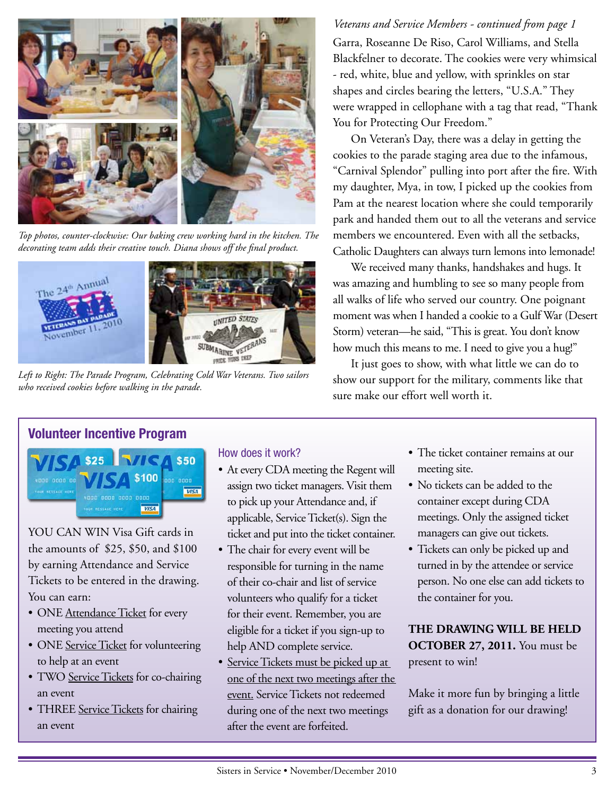

*Top photos, counter-clockwise: Our baking crew working hard in the kitchen. The decorating team adds their creative touch. Diana shows off the final product.*



*Left to Right: The Parade Program, Celebrating Cold War Veterans. Two sailors who received cookies before walking in the parade.*

Garra, Roseanne De Riso, Carol Williams, and Stella Blackfelner to decorate. The cookies were very whimsical - red, white, blue and yellow, with sprinkles on star shapes and circles bearing the letters, "U.S.A." They were wrapped in cellophane with a tag that read, "Thank You for Protecting Our Freedom." *Veterans and Service Members - continued from page 1*

On Veteran's Day, there was a delay in getting the cookies to the parade staging area due to the infamous, "Carnival Splendor" pulling into port after the fire. With my daughter, Mya, in tow, I picked up the cookies from Pam at the nearest location where she could temporarily park and handed them out to all the veterans and service members we encountered. Even with all the setbacks, Catholic Daughters can always turn lemons into lemonade!

We received many thanks, handshakes and hugs. It was amazing and humbling to see so many people from all walks of life who served our country. One poignant moment was when I handed a cookie to a Gulf War (Desert Storm) veteran—he said, "This is great. You don't know how much this means to me. I need to give you a hug!"

It just goes to show, with what little we can do to show our support for the military, comments like that sure make our effort well worth it.

### **Volunteer Incentive Program**



YOU CAN WIN Visa Gift cards in the amounts of \$25, \$50, and \$100 by earning Attendance and Service Tickets to be entered in the drawing. You can earn:

- ONE Attendance Ticket for every meeting you attend
- ONE Service Ticket for volunteering to help at an event
- TWO Service Tickets for co-chairing an event
- THREE Service Tickets for chairing an event

### How does it work?

- At every CDA meeting the Regent will assign two ticket managers. Visit them to pick up your Attendance and, if applicable, Service Ticket(s). Sign the ticket and put into the ticket container.
- The chair for every event will be responsible for turning in the name of their co-chair and list of service volunteers who qualify for a ticket for their event. Remember, you are eligible for a ticket if you sign-up to help AND complete service.
- Service Tickets must be picked up at one of the next two meetings after the event. Service Tickets not redeemed during one of the next two meetings after the event are forfeited.
- The ticket container remains at our meeting site.
- No tickets can be added to the container except during CDA meetings. Only the assigned ticket managers can give out tickets.
- Tickets can only be picked up and turned in by the attendee or service person. No one else can add tickets to the container for you.

**THE DRAWING WILL BE HELD OCTOBER 27, 2011.** You must be present to win!

Make it more fun by bringing a little gift as a donation for our drawing!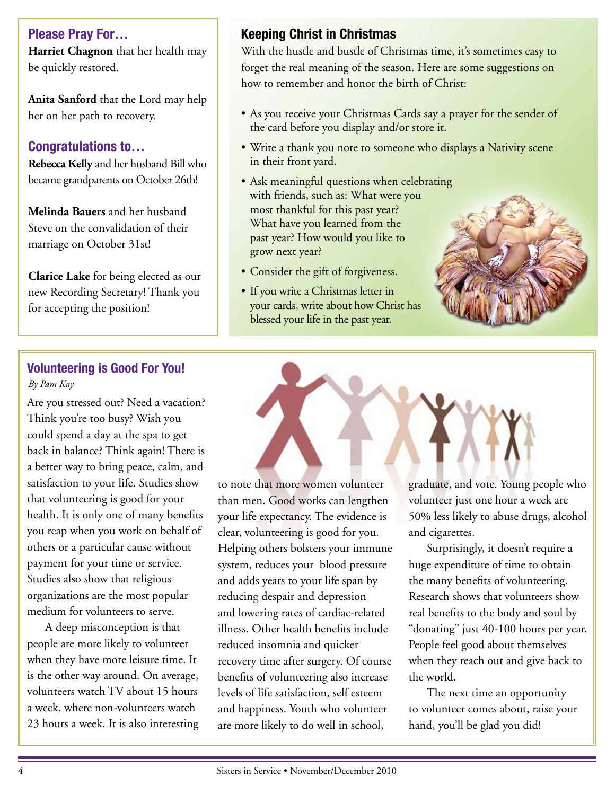**Please Pray For…**

**Harriet Chagnon** that her health may be quickly restored.

**Anita Sanford** that the Lord may help her on her path to recovery.

### **Congratulations to…**

**Rebecca Kelly** and her husband Bill who became grandparents on October 26th!

**Melinda Bauers** and her husband Steve on the convalidation of their marriage on October 31st!

**Clarice Lake** for being elected as our new Recording Secretary! Thank you for accepting the position!

### **Keeping Christ in Christmas**

With the hustle and bustle of Christmas time, it's sometimes easy to forget the real meaning of the season. Here are some suggestions on how to remember and honor the birth of Christ:

- As you receive your Christmas Cards say a prayer for the sender of the card before you display and/or store it.
- Write a thank you note to someone who displays a Nativity scene in their front yard.
- Ask meaningful questions when celebrating with friends, such as: What were you most thankful for this past year? What have you learned from the past year? How would you like to grow next year?
- Consider the gift of forgiveness.
- If you write a Christmas letter in your cards, write about how Christ has blessed your life in the past year.

### **• The Volunteering is Good For You!** *By Pam Kay*

Are you stressed out? Need a vacation? Think you're too busy? Wish you could spend a day at the spa to get back in balance? Think again! There is a better way to bring peace, calm, and satisfaction to your life. Studies show that volunteering is good for your health. It is only one of many benefits you reap when you work on behalf of others or a particular cause without payment for your time or service. Studies also show that religious organizations are the most popular medium for volunteers to serve.

A deep misconception is that people are more likely to volunteer when they have more leisure time. It is the other way around. On average, volunteers watch TV about 15 hours a week, where non-volunteers watch 23 hours a week. It is also interesting to note that more women volunteer than men. Good works can lengthen your life expectancy. The evidence is clear, volunteering is good for you. Helping others bolsters your immune system, reduces your blood pressure and adds years to your life span by reducing despair and depression and lowering rates of cardiac-related illness. Other health benefits include reduced insomnia and quicker recovery time after surgery. Of course benefits of volunteering also increase levels of life satisfaction, self esteem and happiness. Youth who volunteer are more likely to do well in school,

graduate, and vote. Young people who volunteer just one hour a week are 50% less likely to abuse drugs, alcohol and cigarettes.

Surprisingly, it doesn't require a huge expenditure of time to obtain the many benefits of volunteering. Research shows that volunteers show real benefits to the body and soul by "donating" just 40-100 hours per year. People feel good about themselves when they reach out and give back to the world.

The next time an opportunity to volunteer comes about, raise your hand, you'll be glad you did!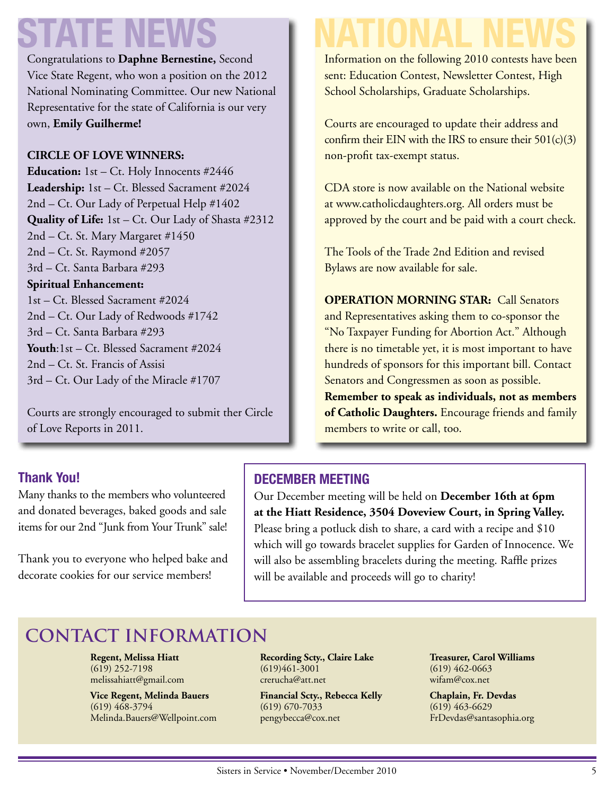# **STATE NEWS NATIONAL NEWS**

Congratulations to **Daphne Bernestine,** Second Vice State Regent, who won a position on the 2012 National Nominating Committee. Our new National Representative for the state of California is our very own, **Emily Guilherme!**

### **CIRCLE OF LOVE WINNERS:**

**Education:** 1st – Ct. Holy Innocents #2446 **Leadership:** 1st – Ct. Blessed Sacrament #2024 2nd – Ct. Our Lady of Perpetual Help #1402 **Quality of Life:** 1st – Ct. Our Lady of Shasta #2312 2nd – Ct. St. Mary Margaret #1450 2nd – Ct. St. Raymond #2057 3rd – Ct. Santa Barbara #293 **Spiritual Enhancement:** 1st – Ct. Blessed Sacrament #2024 2nd – Ct. Our Lady of Redwoods #1742 3rd – Ct. Santa Barbara #293 **Youth**:1st – Ct. Blessed Sacrament #2024 2nd – Ct. St. Francis of Assisi 3rd – Ct. Our Lady of the Miracle #1707

Courts are strongly encouraged to submit ther Circle of Love Reports in 2011.

Many thanks to the members who volunteered and donated beverages, baked goods and sale items for our 2nd "Junk from Your Trunk" sale!

Thank you to everyone who helped bake and decorate cookies for our service members!

**Thank You!**

Information on the following 2010 contests have been sent: Education Contest, Newsletter Contest, High School Scholarships, Graduate Scholarships.

Courts are encouraged to update their address and confirm their EIN with the IRS to ensure their  $501(c)(3)$ non-profit tax-exempt status.

CDA store is now available on the National website at www.catholicdaughters.org. All orders must be approved by the court and be paid with a court check.

The Tools of the Trade 2nd Edition and revised Bylaws are now available for sale.

**OPERATION MORNING STAR:** Call Senators and Representatives asking them to co-sponsor the "No Taxpayer Funding for Abortion Act." Although there is no timetable yet, it is most important to have hundreds of sponsors for this important bill. Contact Senators and Congressmen as soon as possible. **Remember to speak as individuals, not as members of Catholic Daughters.** Encourage friends and family members to write or call, too.

### **DECEMBER MEETING**

Our December meeting will be held on **December 16th at 6pm at the Hiatt Residence, 3504 Doveview Court, in Spring Valley.** Please bring a potluck dish to share, a card with a recipe and \$10 which will go towards bracelet supplies for Garden of Innocence. We will also be assembling bracelets during the meeting. Raffle prizes will be available and proceeds will go to charity!

### **Contact Information**

**Regent, Melissa Hiatt** (619) 252-7198 melissahiatt@gmail.com

**Vice Regent, Melinda Bauers** (619) 468-3794 Melinda.Bauers@Wellpoint.com **Recording Scty., Claire Lake** (619)461-3001 crerucha@att.net

**Financial Scty., Rebecca Kelly** (619) 670-7033 pengybecca@cox.net

**Treasurer, Carol Williams** (619) 462-0663 wifam@cox.net

**Chaplain, Fr. Devdas** (619) 463-6629 FrDevdas@santasophia.org